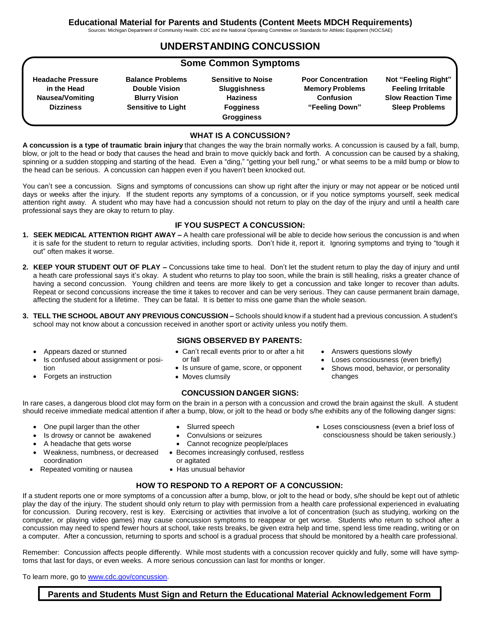Sources: Michigan Department of Community Health. CDC and the National Operating Committee on Standards for Athletic Equipment (NOCSAE)

## **UNDERSTANDING CONCUSSION**

### **Some Common Symptoms**

**Headache Pressure in the Head Nausea/Vomiting Dizziness**

**Balance Problems Double Vision Blurry Vision Sensitive to Light**

**Sensitive to Noise Sluggishness Haziness Fogginess Grogginess**

**Poor Concentration Memory Problems Confusion "Feeling Down"**

Answers questions slowly

changes

 Loses consciousness (even briefly) Shows mood, behavior, or personality

 Loses consciousness (even a brief loss of consciousness should be taken seriously.)

**Not "Feeling Right" Feeling Irritable Slow Reaction Time Sleep Problems**

#### **WHAT IS A CONCUSSION?**

**A concussion is a type of traumatic brain injury** that changes the way the brain normally works. A concussion is caused by a fall, bump, blow, or jolt to the head or body that causes the head and brain to move quickly back and forth. A concussion can be caused by a shaking, spinning or a sudden stopping and starting of the head. Even a "ding," "getting your bell rung," or what seems to be a mild bump or blow to the head can be serious. A concussion can happen even if you haven't been knocked out.

You can't see a concussion. Signs and symptoms of concussions can show up right after the injury or may not appear or be noticed until days or weeks after the injury. If the student reports any symptoms of a concussion, or if you notice symptoms yourself, seek medical attention right away. A student who may have had a concussion should not return to play on the day of the injury and until a health care professional says they are okay to return to play.

#### **IF YOU SUSPECT A CONCUSSION:**

- **1. SEEK MEDICAL ATTENTION RIGHT AWAY –** A health care professional will be able to decide how serious the concussion is and when it is safe for the student to return to regular activities, including sports. Don't hide it, report it. Ignoring symptoms and trying to "tough it out" often makes it worse.
- **2. KEEP YOUR STUDENT OUT OF PLAY –** Concussions take time to heal. Don't let the student return to play the day of injury and until a heath care professional says it's okay. A student who returns to play too soon, while the brain is still healing, risks a greater chance of having a second concussion. Young children and teens are more likely to get a concussion and take longer to recover than adults. Repeat or second concussions increase the time it takes to recover and can be very serious. They can cause permanent brain damage, affecting the student for a lifetime. They can be fatal. It is better to miss one game than the whole season.
- **3. TELL THE SCHOOL ABOUT ANY PREVIOUS CONCUSSION –** Schools should know if a student had a previous concussion. A student's school may not know about a concussion received in another sport or activity unless you notify them.
	- Appears dazed or stunned
	- Is confused about assignment or position
	- Forgets an instruction

coordination

- **SIGNS OBSERVED BY PARENTS:**
- Can't recall events prior to or after a hit or fall
- Is unsure of game, score, or opponent
- Moves clumsily

#### **CONCUSSION DANGER SIGNS:**

In rare cases, a dangerous blood clot may form on the brain in a person with a concussion and crowd the brain against the skull. A student should receive immediate medical attention if after a bump, blow, or jolt to the head or body s/he exhibits any of the following danger signs:

• One pupil larger than the other

Repeated vomiting or nausea

 Is drowsy or cannot be awakened A headache that gets worse Weakness, numbness, or decreased

- Slurred speech
- Convulsions or seizures
- Cannot recognize people/places
- Becomes increasingly confused, restless or agitated
- Has unusual behavior

#### **HOW TO RESPOND TO A REPORT OF A CONCUSSION:**

If a student reports one or more symptoms of a concussion after a bump, blow, or jolt to the head or body, s/he should be kept out of athletic play the day of the injury. The student should only return to play with permission from a health care professional experienced in evaluating for concussion. During recovery, rest is key. Exercising or activities that involve a lot of concentration (such as studying, working on the computer, or playing video games) may cause concussion symptoms to reappear or get worse. Students who return to school after a concussion may need to spend fewer hours at school, take rests breaks, be given extra help and time, spend less time reading, writing or on a computer. After a concussion, returning to sports and school is a gradual process that should be monitored by a health care professional.

Remember: Concussion affects people differently. While most students with a concussion recover quickly and fully, some will have symptoms that last for days, or even weeks. A more serious concussion can last for months or longer.

To learn more, go to www.cdc.gov/concussion.

#### **Parents and Students Must Sign and Return the Educational Material Acknowledgement Form**